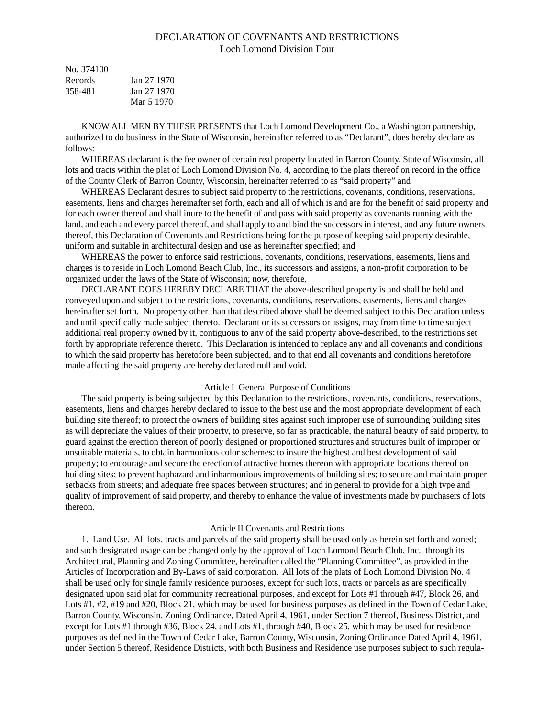# DECLARATION OF COVENANTS AND RESTRICTIONS Loch Lomond Division Four

| No. 374100 |             |
|------------|-------------|
| Records    | Jan 27 1970 |
| 358-481    | Jan 27 1970 |
|            | Mar 5 1970  |

KNOW ALL MEN BY THESE PRESENTS that Loch Lomond Development Co., a Washington partnership, authorized to do business in the State of Wisconsin, hereinafter referred to as "Declarant", does hereby declare as follows:

WHEREAS declarant is the fee owner of certain real property located in Barron County, State of Wisconsin, all lots and tracts within the plat of Loch Lomond Division No. 4, according to the plats thereof on record in the office of the County Clerk of Barron County, Wisconsin, hereinafter referred to as "said property" and

WHEREAS Declarant desires to subject said property to the restrictions, covenants, conditions, reservations, easements, liens and charges hereinafter set forth, each and all of which is and are for the benefit of said property and for each owner thereof and shall inure to the benefit of and pass with said property as covenants running with the land, and each and every parcel thereof, and shall apply to and bind the successors in interest, and any future owners thereof, this Declaration of Covenants and Restrictions being for the purpose of keeping said property desirable, uniform and suitable in architectural design and use as hereinafter specified; and

WHEREAS the power to enforce said restrictions, covenants, conditions, reservations, easements, liens and charges is to reside in Loch Lomond Beach Club, Inc., its successors and assigns, a non-profit corporation to be organized under the laws of the State of Wisconsin; now, therefore,

DECLARANT DOES HEREBY DECLARE THAT the above-described property is and shall be held and conveyed upon and subject to the restrictions, covenants, conditions, reservations, easements, liens and charges hereinafter set forth. No property other than that described above shall be deemed subject to this Declaration unless and until specifically made subject thereto. Declarant or its successors or assigns, may from time to time subject additional real property owned by it, contiguous to any of the said property above-described, to the restrictions set forth by appropriate reference thereto. This Declaration is intended to replace any and all covenants and conditions to which the said property has heretofore been subjected, and to that end all covenants and conditions heretofore made affecting the said property are hereby declared null and void.

## Article I General Purpose of Conditions

The said property is being subjected by this Declaration to the restrictions, covenants, conditions, reservations, easements, liens and charges hereby declared to issue to the best use and the most appropriate development of each building site thereof; to protect the owners of building sites against such improper use of surrounding building sites as will depreciate the values of their property, to preserve, so far as practicable, the natural beauty of said property, to guard against the erection thereon of poorly designed or proportioned structures and structures built of improper or unsuitable materials, to obtain harmonious color schemes; to insure the highest and best development of said property; to encourage and secure the erection of attractive homes thereon with appropriate locations thereof on building sites; to prevent haphazard and inharmonious improvements of building sites; to secure and maintain proper setbacks from streets; and adequate free spaces between structures; and in general to provide for a high type and quality of improvement of said property, and thereby to enhance the value of investments made by purchasers of lots thereon.

#### Article II Covenants and Restrictions

1. Land Use. All lots, tracts and parcels of the said property shall be used only as herein set forth and zoned; and such designated usage can be changed only by the approval of Loch Lomond Beach Club, Inc., through its Architectural, Planning and Zoning Committee, hereinafter called the "Planning Committee", as provided in the Articles of Incorporation and By-Laws of said corporation. All lots of the plats of Loch Lomond Division No. 4 shall be used only for single family residence purposes, except for such lots, tracts or parcels as are specifically designated upon said plat for community recreational purposes, and except for Lots #1 through #47, Block 26, and Lots #1, #2, #19 and #20, Block 21, which may be used for business purposes as defined in the Town of Cedar Lake, Barron County, Wisconsin, Zoning Ordinance, Dated April 4, 1961, under Section 7 thereof, Business District, and except for Lots #1 through #36, Block 24, and Lots #1, through #40, Block 25, which may be used for residence purposes as defined in the Town of Cedar Lake, Barron County, Wisconsin, Zoning Ordinance Dated April 4, 1961, under Section 5 thereof, Residence Districts, with both Business and Residence use purposes subject to such regula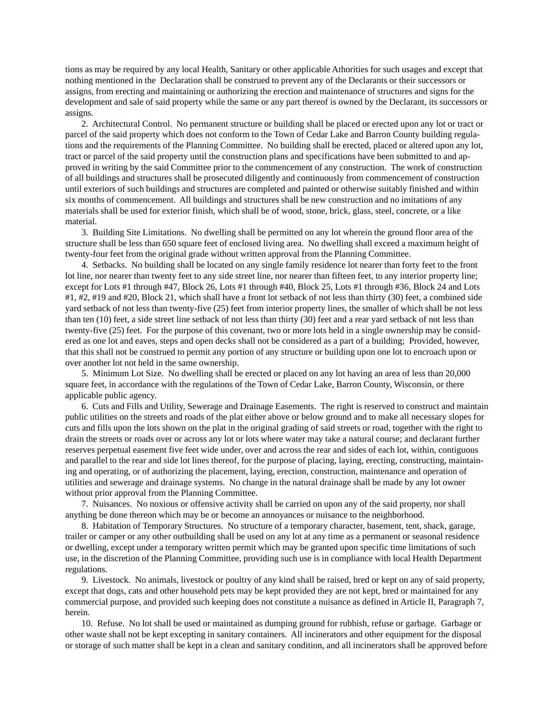tions as may be required by any local Health, Sanitary or other applicable Athorities for such usages and except that nothing mentioned in the Declaration shall be construed to prevent any of the Declarants or their successors or assigns, from erecting and maintaining or authorizing the erection and maintenance of structures and signs for the development and sale of said property while the same or any part thereof is owned by the Declarant, its successors or assigns.

2. Architectural Control. No permanent structure or building shall be placed or erected upon any lot or tract or parcel of the said property which does not conform to the Town of Cedar Lake and Barron County building regulations and the requirements of the Planning Committee. No building shall be erected, placed or altered upon any lot, tract or parcel of the said property until the construction plans and specifications have been submitted to and approved in writing by the said Committee prior to the commencement of any construction. The work of construction of all buildings and structures shall be prosecuted diligently and continuously from commencement of construction until exteriors of such buildings and structures are completed and painted or otherwise suitably finished and within six months of commencement. All buildings and structures shall be new construction and no imitations of any materials shall be used for exterior finish, which shall be of wood, stone, brick, glass, steel, concrete, or a like material.

3. Building Site Limitations. No dwelling shall be permitted on any lot wherein the ground floor area of the structure shall be less than 650 square feet of enclosed living area. No dwelling shall exceed a maximum height of twenty-four feet from the original grade without written approval from the Planning Committee.

4. Setbacks. No building shall be located on any single family residence lot nearer than forty feet to the front lot line, nor nearer than twenty feet to any side street line, nor nearer than fifteen feet, to any interior property line; except for Lots #1 through #47, Block 26, Lots #1 through #40, Block 25, Lots #1 through #36, Block 24 and Lots #1, #2, #19 and #20, Block 21, which shall have a front lot setback of not less than thirty (30) feet, a combined side yard setback of not less than twenty-five (25) feet from interior property lines, the smaller of which shall be not less than ten (10) feet, a side street line setback of not less than thirty (30) feet and a rear yard setback of not less than twenty-five (25) feet. For the purpose of this covenant, two or more lots held in a single ownership may be considered as one lot and eaves, steps and open decks shall not be considered as a part of a building; Provided, however, that this shall not be construed to permit any portion of any structure or building upon one lot to encroach upon or over another lot not held in the same ownership.

5. Minimum Lot Size. No dwelling shall be erected or placed on any lot having an area of less than 20,000 square feet, in accordance with the regulations of the Town of Cedar Lake, Barron County, Wisconsin, or there applicable public agency.

6. Cuts and Fills and Utility, Sewerage and Drainage Easements. The right is reserved to construct and maintain public utilities on the streets and roads of the plat either above or below ground and to make all necessary slopes for cuts and fills upon the lots shown on the plat in the original grading of said streets or road, together with the right to drain the streets or roads over or across any lot or lots where water may take a natural course; and declarant further reserves perpetual easement five feet wide under, over and across the rear and sides of each lot, within, contiguous and parallel to the rear and side lot lines thereof, for the purpose of placing, laying, erecting, constructing, maintaining and operating, or of authorizing the placement, laying, erection, construction, maintenance and operation of utilities and sewerage and drainage systems. No change in the natural drainage shall be made by any lot owner without prior approval from the Planning Committee.

7. Nuisances. No noxious or offensive activity shall be carried on upon any of the said property, nor shall anything be done thereon which may be or become an annoyances or nuisance to the neighborhood.

8. Habitation of Temporary Structures. No structure of a temporary character, basement, tent, shack, garage, trailer or camper or any other outbuilding shall be used on any lot at any time as a permanent or seasonal residence or dwelling, except under a temporary written permit which may be granted upon specific time limitations of such use, in the discretion of the Planning Committee, providing such use is in compliance with local Health Department regulations.

9. Livestock. No animals, livestock or poultry of any kind shall be raised, bred or kept on any of said property, except that dogs, cats and other household pets may be kept provided they are not kept, bred or maintained for any commercial purpose, and provided such keeping does not constitute a nuisance as defined in Article II, Paragraph 7, herein.

10. Refuse. No lot shall be used or maintained as dumping ground for rubbish, refuse or garbage. Garbage or other waste shall not be kept excepting in sanitary containers. All incinerators and other equipment for the disposal or storage of such matter shall be kept in a clean and sanitary condition, and all incinerators shall be approved before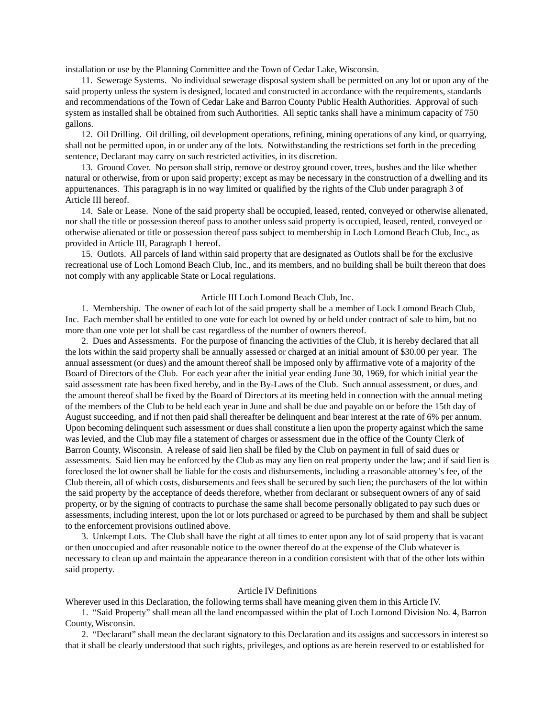installation or use by the Planning Committee and the Town of Cedar Lake, Wisconsin.

11. Sewerage Systems. No individual sewerage disposal system shall be permitted on any lot or upon any of the said property unless the system is designed, located and constructed in accordance with the requirements, standards and recommendations of the Town of Cedar Lake and Barron County Public Health Authorities. Approval of such system as installed shall be obtained from such Authorities. All septic tanks shall have a minimum capacity of 750 gallons.

12. Oil Drilling. Oil drilling, oil development operations, refining, mining operations of any kind, or quarrying, shall not be permitted upon, in or under any of the lots. Notwithstanding the restrictions set forth in the preceding sentence, Declarant may carry on such restricted activities, in its discretion.

13. Ground Cover. No person shall strip, remove or destroy ground cover, trees, bushes and the like whether natural or otherwise, from or upon said property; except as may be necessary in the construction of a dwelling and its appurtenances. This paragraph is in no way limited or qualified by the rights of the Club under paragraph 3 of Article III hereof.

14. Sale or Lease. None of the said property shall be occupied, leased, rented, conveyed or otherwise alienated, nor shall the title or possession thereof pass to another unless said property is occupied, leased, rented, conveyed or otherwise alienated or title or possession thereof pass subject to membership in Loch Lomond Beach Club, Inc., as provided in Article III, Paragraph 1 hereof.

15. Outlots. All parcels of land within said property that are designated as Outlots shall be for the exclusive recreational use of Loch Lomond Beach Club, Inc., and its members, and no building shall be built thereon that does not comply with any applicable State or Local regulations.

#### Article III Loch Lomond Beach Club, Inc.

1. Membership. The owner of each lot of the said property shall be a member of Lock Lomond Beach Club, Inc. Each member shall be entitled to one vote for each lot owned by or held under contract of sale to him, but no more than one vote per lot shall be cast regardless of the number of owners thereof.

2. Dues and Assessments. For the purpose of financing the activities of the Club, it is hereby declared that all the lots within the said property shall be annually assessed or charged at an initial amount of \$30.00 per year. The annual assessment (or dues) and the amount thereof shall be imposed only by affirmative vote of a majority of the Board of Directors of the Club. For each year after the initial year ending June 30, 1969, for which initial year the said assessment rate has been fixed hereby, and in the By-Laws of the Club. Such annual assessment, or dues, and the amount thereof shall be fixed by the Board of Directors at its meeting held in connection with the annual meting of the members of the Club to be held each year in June and shall be due and payable on or before the 15th day of August succeeding, and if not then paid shall thereafter be delinquent and bear interest at the rate of 6% per annum. Upon becoming delinquent such assessment or dues shall constitute a lien upon the property against which the same was levied, and the Club may file a statement of charges or assessment due in the office of the County Clerk of Barron County, Wisconsin. A release of said lien shall be filed by the Club on payment in full of said dues or assessments. Said lien may be enforced by the Club as may any lien on real property under the law; and if said lien is foreclosed the lot owner shall be liable for the costs and disbursements, including a reasonable attorney's fee, of the Club therein, all of which costs, disbursements and fees shall be secured by such lien; the purchasers of the lot within the said property by the acceptance of deeds therefore, whether from declarant or subsequent owners of any of said property, or by the signing of contracts to purchase the same shall become personally obligated to pay such dues or assessments, including interest, upon the lot or lots purchased or agreed to be purchased by them and shall be subject to the enforcement provisions outlined above.

3. Unkempt Lots. The Club shall have the right at all times to enter upon any lot of said property that is vacant or then unoccupied and after reasonable notice to the owner thereof do at the expense of the Club whatever is necessary to clean up and maintain the appearance thereon in a condition consistent with that of the other lots within said property.

#### Article IV Definitions

Wherever used in this Declaration, the following terms shall have meaning given them in this Article IV.

1. "Said Property" shall mean all the land encompassed within the plat of Loch Lomond Division No. 4, Barron County, Wisconsin.

2. "Declarant" shall mean the declarant signatory to this Declaration and its assigns and successors in interest so that it shall be clearly understood that such rights, privileges, and options as are herein reserved to or established for